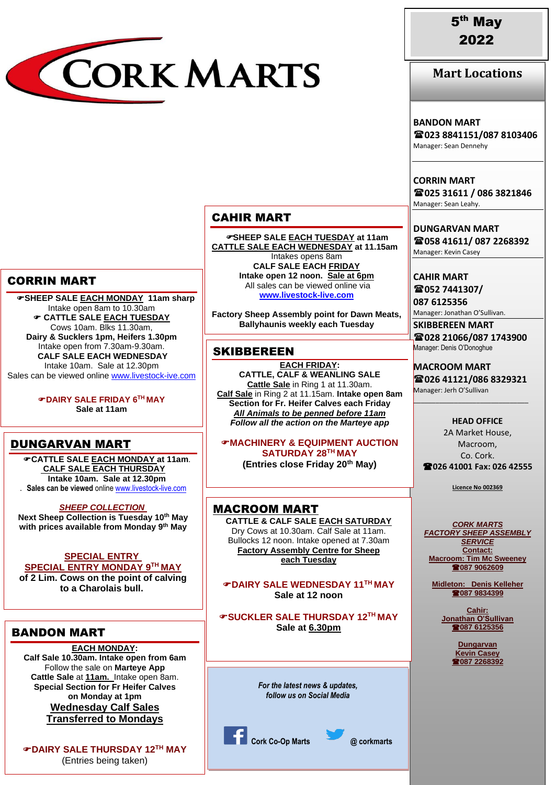

**Mart Locations**

#### **BANDON MART**

**023 8841151/087 8103406** Manager: Sean Dennehy

**CORRIN MART 025 31611 / 086 3821846** Manager: Sean Leahy.

**DUNGARVAN MART 058 41611/ 087 2268392** Manager: Kevin Casey

**CAHIR MART 052 7441307/**

**087 6125356** Manager: Jonathan O'Sullivan.

**SKIBBEREEN MART 028 21066/087 1743900** Manager: Denis O'Donoghue

**MACROOM MART 026 41121/086 8329321** Manager: Jerh O'Sullivan

\_\_\_\_\_\_\_\_\_\_\_\_\_\_\_\_\_\_\_\_\_\_\_\_\_\_\_\_\_\_\_

**HEAD OFFICE** 2A Market House, Macroom, Co. Cork. **026 41001 Fax: 026 42555**

**Licence No 002369**

*CORK MARTS FACTORY SHEEP ASSEMBLY SERVICE* **Contact: Macroom: Tim Mc Sweeney 087 9062609**

**Midleton: Denis Kelleher 087 9834399**

> **Cahir: Jonathan O'Sullivan 087 6125356**

> > **Dungarvan Kevin Casey 087 2268392**

# CORRIN MART

 **SHEEP SALE EACH MONDAY 11am sharp** Intake open 8am to 10.30am **CATTLE SALE EACH TUESDAY** Cows 10am. Blks 11.30am, **Dairy & Sucklers 1pm, Heifers 1.30pm** Intake open from 7.30am-9.30am. **CALF SALE EACH WEDNESDAY** Intake 10am. Sale at 12.30pm Sales can be viewed onlin[e www.livestock-ive.com](http://www.livestock-ive.com/)

> **DAIRY SALE FRIDAY 6TH MAY Sale at 11am**

### DUNGARVAN MART

**CATTLE SALE EACH MONDAY at 11am**. **CALF SALE EACH THURSDAY Intake 10am. Sale at 12.30pm** IN *JANUARY* 2022 . **Sales can be viewed** online [www.livestock-live.com](http://www.livestock-live.com/)

*SHEEP COLLECTION* **Next Sheep Collection is Tuesday 10th May with prices available from Monday 9 th May**

## **SPECIAL ENTRY**

**SPECIAL ENTRY MONDAY 9TH MAY of 2 Lim. Cows on the point of calving to a Charolais bull.**

### BANDON MART

#### **EACH MONDAY:**

**Calf Sale 10.30am. Intake open from 6am** Follow the sale on **Marteye App Cattle Sale** at **11am.** Intake open 8am. **Special Section for Fr Heifer Calves on Monday at 1pm Wednesday Calf Sales Transferred to Mondays**

**DAIRY SALE THURSDAY 12 TH MAY** (Entries being taken)

### CAHIR MART

**SHEEP SALE EACH TUESDAY at 11am CATTLE SALE EACH WEDNESDAY at 11.15am** Intakes opens 8am **CALF SALE EACH FRIDAY Intake open 12 noon. Sale at 6pm** All sales can be viewed online via **[www.livestock-live.com](http://www.livestock-live.com/)**

**Factory Sheep Assembly point for Dawn Meats, Ballyhaunis weekly each Tuesday**

### **SKIBBEREEN**

**EACH FRIDAY: CATTLE, CALF & WEANLING SALE Cattle Sale** in Ring 1 at 11.30am. **Calf Sale** in Ring 2 at 11.15am. **Intake open 8am Section for Fr. Heifer Calves each Friday** *All Animals to be penned before 11am Follow all the action on the Marteye app*

**MACHINERY & EQUIPMENT AUCTION SATURDAY 28TH MAY**

**(Entries close Friday 20th May)**

MACROOM MART **CATTLE & CALF SALE EACH SATURDAY** Dry Cows at 10.30am. Calf Sale at 11am. Bullocks 12 noon. Intake opened at 7.30am **Factory Assembly Centre for Sheep each Tuesday**

**DAIRY SALE WEDNESDAY 11TH MAY Sale at 12 noon**

**SUCKLER SALE THURSDAY 12TH MAY Sale at 6.30pm**

> *For the latest news & updates, follow us on Social Media*